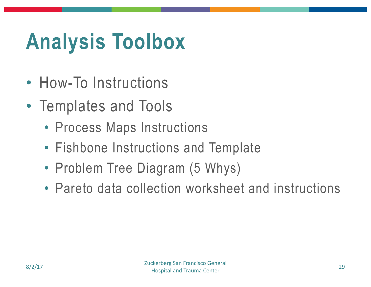## **Analysis Toolbox**

- How-To Instructions
- Templates and Tools
	- Process Maps Instructions
	- Fishbone Instructions and Template
	- Problem Tree Diagram (5 Whys)
	- Pareto data collection worksheet and instructions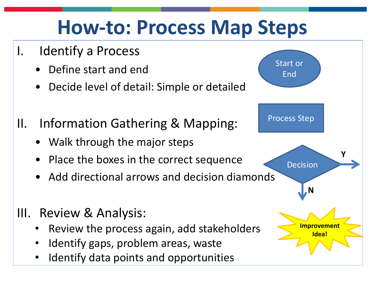## **How-to: Process Map Steps**

- I. Identify a Process
	- Define start and end
	- Decide level of detail: Simple or detailed
- II. Information Gathering & Mapping:
	- Walk through the major steps
	- Place the boxes in the correct sequence
	- Add directional arrows and decision diamonds
- III. Review & Analysis:
	- Review the process again, add stakeholders
	- Identify gaps, problem areas, waste
	- Identify data points and opportunities

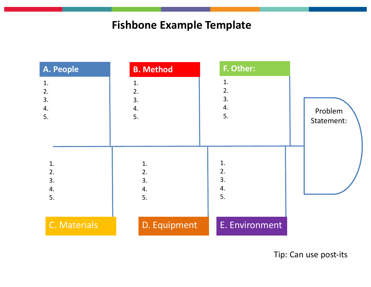## **Fishbone Example Template**

| A. People    | <b>B. Method</b> | F. Other:      |            |
|--------------|------------------|----------------|------------|
| 1.           | 1.               | 1.             |            |
| 2.           | 2.               | 2.             |            |
| 3.           | 3.               | 3.             |            |
| 4.           | 4.               | 4.             | Problem    |
| 5.           | 5.               | 5.             | Statement: |
|              |                  |                |            |
|              |                  |                |            |
|              |                  |                |            |
| 1.           | 1.               | 1.             |            |
| 2.           | 2.               | 2.             |            |
| 3.           | 3.               | 3.             |            |
| 4.           | 4.               | 4.             |            |
| 5.           | 5.               | 5.             |            |
|              |                  |                |            |
| C. Materials | D. Equipment     | E. Environment |            |

Tip: Can use post-its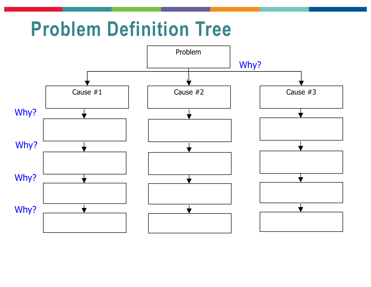## **Problem Definition Tree**